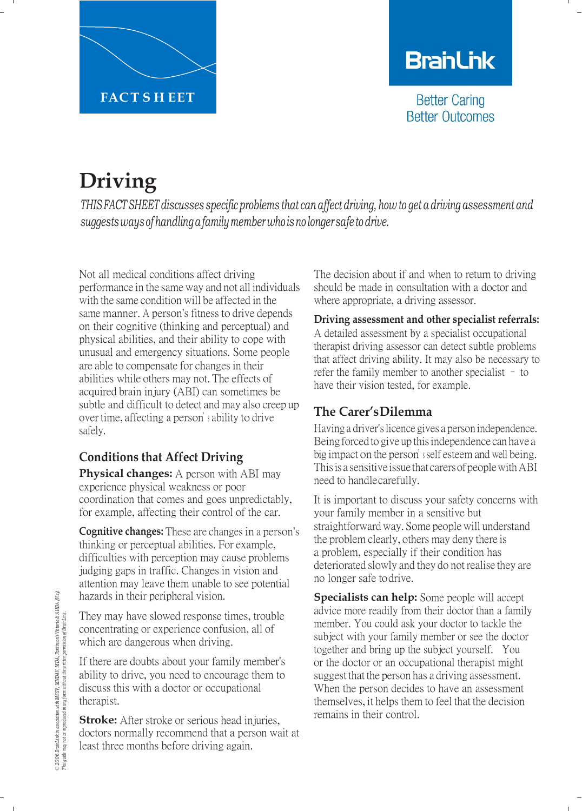

## **BranLink**

**Better Caring Better Outcomes** 

# **Driving**

*THIS FACTSHEET discusses specific problems that can affect driving, how to get a driving assessment and suggestsways ofhandlingafamily member who isno longer safe todrive.*

Not all medical conditions affect driving performance in the same way and not all individuals with the same condition will be affected in the same manner. A person's fitness to drive depends on their cognitive (thinking and perceptual) and physical abilities, and their ability to cope with unusual and emergency situations. Some people are able to compensate for changes in their abilities while others may not. The effects of acquired brain injury (ABI) can sometimes be subtle and difficult to detect and may also creep up over time, affecting a person'<sup>s</sup> ability to drive safely.

## **Conditions that Affect Driving**

**Physical changes:** A person with ABI may experience physical weakness or poor coordination that comes and goes unpredictably, for example, affecting their control of the car.

**Cognitive changes:** These are changes in a person's thinking or perceptual abilities. For example, difficulties with perception may cause problems judging gaps in traffic. Changes in vision and attention may leave them unable to see potential hazards in their peripheral vision.

They may have slowed response times, trouble concentrating or experience confusion, all of which are dangerous when driving.

If there are doubts about your family member's ability to drive, you need to encourage them to discuss this with a doctor or occupational therapist.

**Stroke:** After stroke or serious head injuries, doctors normally recommend that a person wait at least three months before driving again.

The decision about if and when to return to driving should be made in consultation with a doctor and where appropriate, a driving assessor.

#### **Driving assessment and other specialist referrals:**  A detailed assessment by a specialist occupational therapist driving assessor can detect subtle problems that affect driving ability. It may also be necessary to refer the family member to another specialist – to have their vision tested, for example.

## **The Carer'sDilemma**

Having a driver's licence gives a person independence. Being forced to give up this independence can have a big impact on the person'<sup>s</sup> self esteem and well being. This is a sensitive issue that carers of people with ABI need to handle carefully.

It is important to discuss your safety concerns with your family member in a sensitive but straightforward way. Some people will understand the problem clearly, others may deny there is a problem, especially if their condition has deteriorated slowly and they do not realise they are no longer safe todrive.

**Specialists can help:** Some people will accept advice more readily from their doctor than a family member. You could ask your doctor to tackle the subject with your family member or see the doctor together and bring up the subject yourself. You or the doctor or an occupational therapist might suggest that the person has a driving assessment. When the person decides to have an assessment themselves, it helps them to feel that the decision remains in their control.